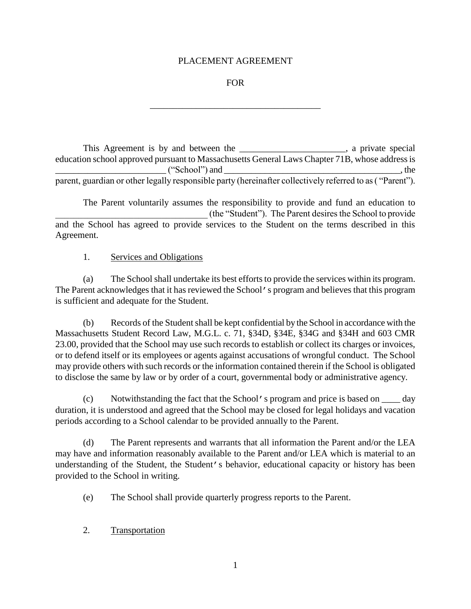#### PLACEMENT AGREEMENT

#### FOR

\_\_\_\_\_\_\_\_\_\_\_\_\_\_\_\_\_\_\_\_\_\_\_\_\_\_\_\_\_\_\_\_\_\_\_\_\_

This Agreement is by and between the \_\_\_\_\_\_\_\_\_\_\_\_\_\_\_\_\_\_\_\_\_, a private special education school approved pursuant to Massachusetts General Laws Chapter 71B, whose address is \_\_\_\_\_\_\_\_\_\_\_\_\_\_\_\_\_\_\_\_\_\_\_\_ ("School") and \_\_\_\_\_\_\_\_\_\_\_\_\_\_\_\_\_\_\_\_\_\_\_\_\_\_\_\_\_\_\_\_\_\_\_\_\_\_\_, the parent, guardian or other legally responsible party (hereinafter collectively referred to as ( "Parent").

The Parent voluntarily assumes the responsibility to provide and fund an education to \_\_\_\_\_\_\_\_\_\_\_\_\_\_\_\_\_\_\_\_\_\_\_\_\_\_\_\_\_\_\_\_\_ (the "Student"). The Parent desires the School to provide and the School has agreed to provide services to the Student on the terms described in this Agreement.

#### 1. Services and Obligations

(a) The School shall undertake its best efforts to provide the services within its program. The Parent acknowledges that it has reviewed the School's program and believes that this program is sufficient and adequate for the Student.

(b) Records of the Student shall be kept confidential by the School in accordance with the Massachusetts Student Record Law, M.G.L. c. 71, §34D, §34E, §34G and §34H and 603 CMR 23.00, provided that the School may use such records to establish or collect its charges or invoices, or to defend itself or its employees or agents against accusations of wrongful conduct. The School may provide others with such records or the information contained therein if the School is obligated to disclose the same by law or by order of a court, governmental body or administrative agency.

(c) Notwithstanding the fact that the School's program and price is based on \_\_\_\_ day duration, it is understood and agreed that the School may be closed for legal holidays and vacation periods according to a School calendar to be provided annually to the Parent.

(d) The Parent represents and warrants that all information the Parent and/or the LEA may have and information reasonably available to the Parent and/or LEA which is material to an understanding of the Student, the Student's behavior, educational capacity or history has been provided to the School in writing.

(e) The School shall provide quarterly progress reports to the Parent.

2. Transportation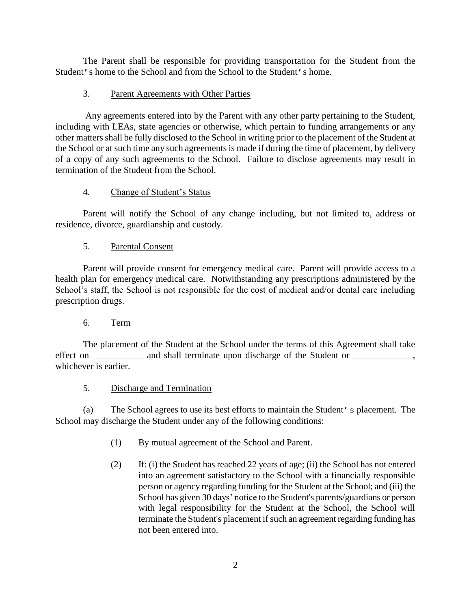The Parent shall be responsible for providing transportation for the Student from the Student's home to the School and from the School to the Student's home.

## 3. Parent Agreements with Other Parties

Any agreements entered into by the Parent with any other party pertaining to the Student, including with LEAs, state agencies or otherwise, which pertain to funding arrangements or any other matters shall be fully disclosed to the School in writing prior to the placement of the Student at the School or at such time any such agreements is made if during the time of placement, by delivery of a copy of any such agreements to the School. Failure to disclose agreements may result in termination of the Student from the School.

### 4. Change of Student's Status

Parent will notify the School of any change including, but not limited to, address or residence, divorce, guardianship and custody.

# 5. Parental Consent

Parent will provide consent for emergency medical care. Parent will provide access to a health plan for emergency medical care. Notwithstanding any prescriptions administered by the School's staff, the School is not responsible for the cost of medical and/or dental care including prescription drugs.

### 6. Term

The placement of the Student at the School under the terms of this Agreement shall take effect on \_\_\_\_\_\_\_\_\_\_\_ and shall terminate upon discharge of the Student or \_\_\_\_\_\_\_\_\_\_\_, whichever is earlier.

### 5. Discharge and Termination

(a) The School agrees to use its best efforts to maintain the Student's placement. The School may discharge the Student under any of the following conditions:

- (1) By mutual agreement of the School and Parent.
- (2) If: (i) the Student has reached 22 years of age; (ii) the School has not entered into an agreement satisfactory to the School with a financially responsible person or agency regarding funding for the Student at the School; and (iii) the School has given 30 days' notice to the Student's parents/guardians or person with legal responsibility for the Student at the School, the School will terminate the Student's placement if such an agreement regarding funding has not been entered into.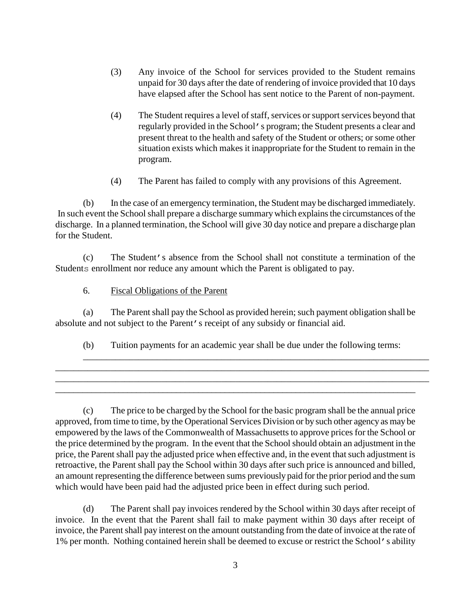- (3) Any invoice of the School for services provided to the Student remains unpaid for 30 days after the date of rendering of invoice provided that 10 days have elapsed after the School has sent notice to the Parent of non-payment.
- (4) The Student requires a level of staff, services or support services beyond that regularly provided in the School's program; the Student presents a clear and present threat to the health and safety of the Student or others; or some other situation exists which makes it inappropriate for the Student to remain in the program.
- (4) The Parent has failed to comply with any provisions of this Agreement.

(b) In the case of an emergency termination, the Student may be discharged immediately. In such event the School shall prepare a discharge summary which explains the circumstances of the discharge. In a planned termination, the School will give 30 day notice and prepare a discharge plan for the Student.

(c) The Student's absence from the School shall not constitute a termination of the Students enrollment nor reduce any amount which the Parent is obligated to pay.

### 6. Fiscal Obligations of the Parent

(a) The Parent shall pay the School as provided herein; such payment obligation shall be absolute and not subject to the Parent's receipt of any subsidy or financial aid.

(b) Tuition payments for an academic year shall be due under the following terms:

\_\_\_\_\_\_\_\_\_\_\_\_\_\_\_\_\_\_\_\_\_\_\_\_\_\_\_\_\_\_\_\_\_\_\_\_\_\_\_\_\_\_\_\_\_\_\_\_\_\_\_\_\_\_\_\_\_\_\_\_\_\_\_\_\_\_\_\_\_\_\_\_\_\_\_\_\_\_\_\_\_ \_\_\_\_\_\_\_\_\_\_\_\_\_\_\_\_\_\_\_\_\_\_\_\_\_\_\_\_\_\_\_\_\_\_\_\_\_\_\_\_\_\_\_\_\_\_\_\_\_\_\_\_\_\_\_\_\_\_\_\_\_\_\_\_\_\_\_\_\_\_\_\_\_\_\_\_\_\_\_\_\_ \_\_\_\_\_\_\_\_\_\_\_\_\_\_\_\_\_\_\_\_\_\_\_\_\_\_\_\_\_\_\_\_\_\_\_\_\_\_\_\_\_\_\_\_\_\_\_\_\_\_\_\_\_\_\_\_\_\_\_\_\_\_\_\_\_\_\_\_\_\_\_\_\_\_\_\_\_\_\_\_\_

\_\_\_\_\_\_\_\_\_\_\_\_\_\_\_\_\_\_\_\_\_\_\_\_\_\_\_\_\_\_\_\_\_\_\_\_\_\_\_\_\_\_\_\_\_\_\_\_\_\_\_\_\_\_\_\_\_\_\_\_\_\_\_\_\_\_\_\_\_\_\_\_\_\_\_

(c) The price to be charged by the School for the basic program shall be the annual price approved, from time to time, by the Operational Services Division or by such other agency as may be empowered by the laws of the Commonwealth of Massachusetts to approve prices for the School or the price determined by the program. In the event that the School should obtain an adjustment in the price, the Parent shall pay the adjusted price when effective and, in the event that such adjustment is retroactive, the Parent shall pay the School within 30 days after such price is announced and billed, an amount representing the difference between sums previously paid for the prior period and the sum which would have been paid had the adjusted price been in effect during such period.

(d) The Parent shall pay invoices rendered by the School within 30 days after receipt of invoice. In the event that the Parent shall fail to make payment within 30 days after receipt of invoice, the Parent shall pay interest on the amount outstanding from the date of invoice at the rate of 1% per month. Nothing contained herein shall be deemed to excuse or restrict the School's ability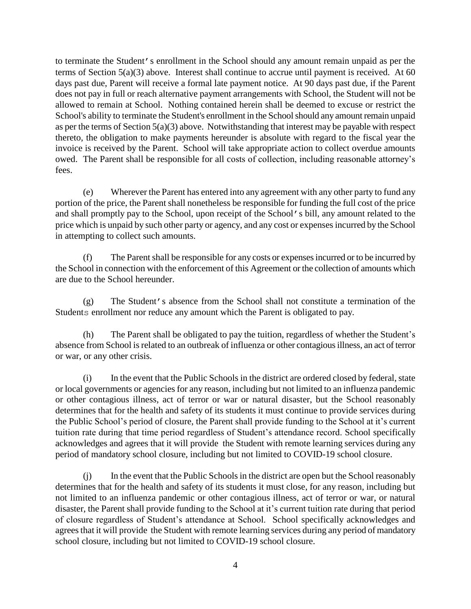to terminate the Student's enrollment in the School should any amount remain unpaid as per the terms of Section 5(a)(3) above. Interest shall continue to accrue until payment is received. At 60 days past due, Parent will receive a formal late payment notice. At 90 days past due, if the Parent does not pay in full or reach alternative payment arrangements with School, the Student will not be allowed to remain at School. Nothing contained herein shall be deemed to excuse or restrict the School's ability to terminate the Student's enrollment in the School should any amount remain unpaid as per the terms of Section  $5(a)(3)$  above. Notwithstanding that interest may be payable with respect thereto, the obligation to make payments hereunder is absolute with regard to the fiscal year the invoice is received by the Parent. School will take appropriate action to collect overdue amounts owed. The Parent shall be responsible for all costs of collection, including reasonable attorney's fees.

(e) Wherever the Parent has entered into any agreement with any other party to fund any portion of the price, the Parent shall nonetheless be responsible for funding the full cost of the price and shall promptly pay to the School, upon receipt of the School's bill, any amount related to the price which is unpaid by such other party or agency, and any cost or expenses incurred by the School in attempting to collect such amounts.

(f) The Parent shall be responsible for any costs or expenses incurred or to be incurred by the School in connection with the enforcement of this Agreement or the collection of amounts which are due to the School hereunder.

(g) The Student's absence from the School shall not constitute a termination of the Students enrollment nor reduce any amount which the Parent is obligated to pay.

(h) The Parent shall be obligated to pay the tuition, regardless of whether the Student's absence from School is related to an outbreak of influenza or other contagious illness, an act of terror or war, or any other crisis.

(i) In the event that the Public Schools in the district are ordered closed by federal, state or local governments or agencies for any reason, including but not limited to an influenza pandemic or other contagious illness, act of terror or war or natural disaster, but the School reasonably determines that for the health and safety of its students it must continue to provide services during the Public School's period of closure, the Parent shall provide funding to the School at it's current tuition rate during that time period regardless of Student's attendance record. School specifically acknowledges and agrees that it will provide the Student with remote learning services during any period of mandatory school closure, including but not limited to COVID-19 school closure.

(j) In the event that the Public Schools in the district are open but the School reasonably determines that for the health and safety of its students it must close, for any reason, including but not limited to an influenza pandemic or other contagious illness, act of terror or war, or natural disaster, the Parent shall provide funding to the School at it's current tuition rate during that period of closure regardless of Student's attendance at School. School specifically acknowledges and agrees that it will provide the Student with remote learning services during any period of mandatory school closure, including but not limited to COVID-19 school closure.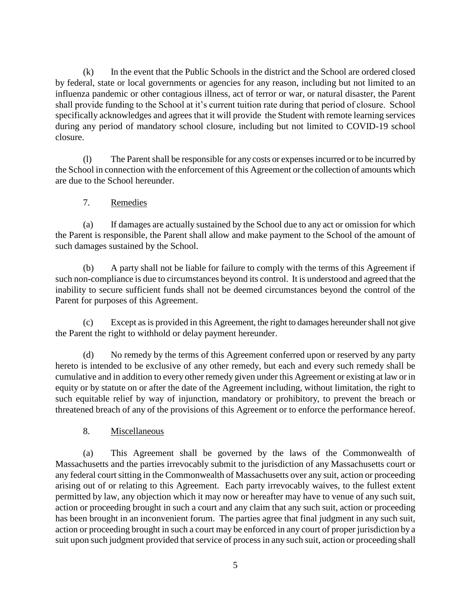(k) In the event that the Public Schools in the district and the School are ordered closed by federal, state or local governments or agencies for any reason, including but not limited to an influenza pandemic or other contagious illness, act of terror or war, or natural disaster, the Parent shall provide funding to the School at it's current tuition rate during that period of closure. School specifically acknowledges and agrees that it will provide the Student with remote learning services during any period of mandatory school closure, including but not limited to COVID-19 school closure.

(1) The Parent shall be responsible for any costs or expenses incurred or to be incurred by the School in connection with the enforcement of this Agreement or the collection of amounts which are due to the School hereunder.

7. Remedies

(a) If damages are actually sustained by the School due to any act or omission for which the Parent is responsible, the Parent shall allow and make payment to the School of the amount of such damages sustained by the School.

(b) A party shall not be liable for failure to comply with the terms of this Agreement if such non-compliance is due to circumstances beyond its control. It is understood and agreed that the inability to secure sufficient funds shall not be deemed circumstances beyond the control of the Parent for purposes of this Agreement.

(c) Except as is provided in this Agreement, the right to damages hereunder shall not give the Parent the right to withhold or delay payment hereunder.

(d) No remedy by the terms of this Agreement conferred upon or reserved by any party hereto is intended to be exclusive of any other remedy, but each and every such remedy shall be cumulative and in addition to every other remedy given under this Agreement or existing at law or in equity or by statute on or after the date of the Agreement including, without limitation, the right to such equitable relief by way of injunction, mandatory or prohibitory, to prevent the breach or threatened breach of any of the provisions of this Agreement or to enforce the performance hereof.

8. Miscellaneous

(a) This Agreement shall be governed by the laws of the Commonwealth of Massachusetts and the parties irrevocably submit to the jurisdiction of any Massachusetts court or any federal court sitting in the Commonwealth of Massachusetts over any suit, action or proceeding arising out of or relating to this Agreement. Each party irrevocably waives, to the fullest extent permitted by law, any objection which it may now or hereafter may have to venue of any such suit, action or proceeding brought in such a court and any claim that any such suit, action or proceeding has been brought in an inconvenient forum. The parties agree that final judgment in any such suit, action or proceeding brought in such a court may be enforced in any court of proper jurisdiction by a suit upon such judgment provided that service of process in any such suit, action or proceeding shall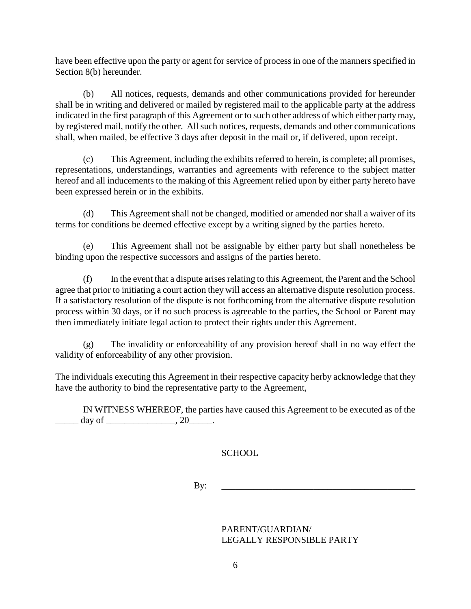have been effective upon the party or agent for service of process in one of the manners specified in Section 8(b) hereunder.

(b) All notices, requests, demands and other communications provided for hereunder shall be in writing and delivered or mailed by registered mail to the applicable party at the address indicated in the first paragraph of this Agreement or to such other address of which either party may, by registered mail, notify the other. All such notices, requests, demands and other communications shall, when mailed, be effective 3 days after deposit in the mail or, if delivered, upon receipt.

(c) This Agreement, including the exhibits referred to herein, is complete; all promises, representations, understandings, warranties and agreements with reference to the subject matter hereof and all inducements to the making of this Agreement relied upon by either party hereto have been expressed herein or in the exhibits.

(d) This Agreement shall not be changed, modified or amended nor shall a waiver of its terms for conditions be deemed effective except by a writing signed by the parties hereto.

(e) This Agreement shall not be assignable by either party but shall nonetheless be binding upon the respective successors and assigns of the parties hereto.

(f) In the event that a dispute arises relating to this Agreement, the Parent and the School agree that prior to initiating a court action they will access an alternative dispute resolution process. If a satisfactory resolution of the dispute is not forthcoming from the alternative dispute resolution process within 30 days, or if no such process is agreeable to the parties, the School or Parent may then immediately initiate legal action to protect their rights under this Agreement.

(g) The invalidity or enforceability of any provision hereof shall in no way effect the validity of enforceability of any other provision.

The individuals executing this Agreement in their respective capacity herby acknowledge that they have the authority to bind the representative party to the Agreement,

IN WITNESS WHEREOF, the parties have caused this Agreement to be executed as of the \_\_\_\_\_ day of \_\_\_\_\_\_\_\_\_\_\_\_\_\_\_, 20\_\_\_\_\_.

SCHOOL

By: \_\_\_\_\_\_\_\_\_\_\_\_\_\_\_\_\_\_\_\_\_\_\_\_\_\_\_\_\_\_\_\_\_\_\_\_\_\_\_\_\_\_

PARENT/GUARDIAN/ LEGALLY RESPONSIBLE PARTY